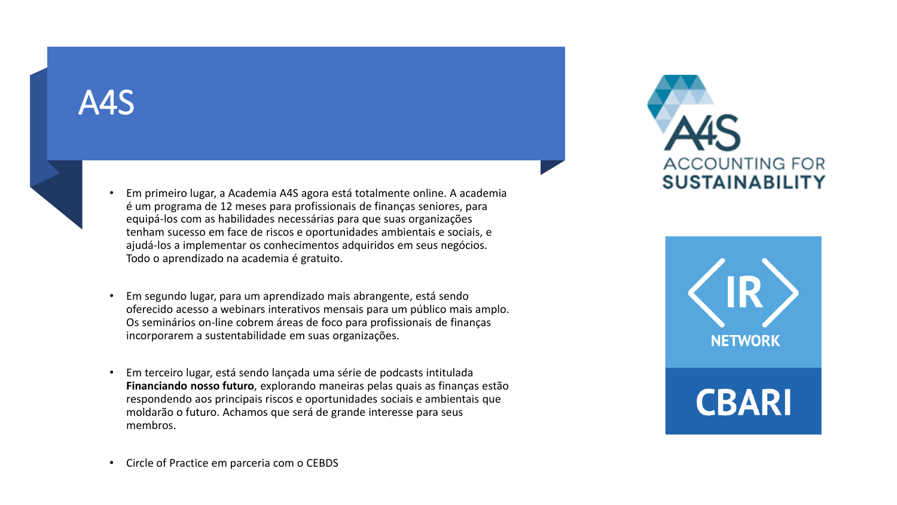### A4S



- Em primeiro lugar, a Academia A4S agora está totalmente online. A academia é um programa de 12 meses para profissionais de finanças seniores, para equipá-los com as habilidades necessárias para que suas organizações tenham sucesso em face de riscos e oportunidades ambientais e sociais, e ajudá-los a implementar os conhecimentos adquiridos em seus negócios. Todo o aprendizado na academia é gratuito.
- Em segundo lugar, para um aprendizado mais abrangente, está sendo oferecido acesso a webinars interativos mensais para um público mais amplo. Os seminários on-line cobrem áreas de foco para profissionais de finanças incorporarem a sustentabilidade em suas organizações.
- Em terceiro lugar, está sendo lançada uma série de podcasts intitulada **Financiando nosso futuro**, explorando maneiras pelas quais as finanças estão respondendo aos principais riscos e oportunidades sociais e ambientais que moldarão o futuro. Achamos que será de grande interesse para seus membros.







• Circle of Practice em parceria com o CEBDS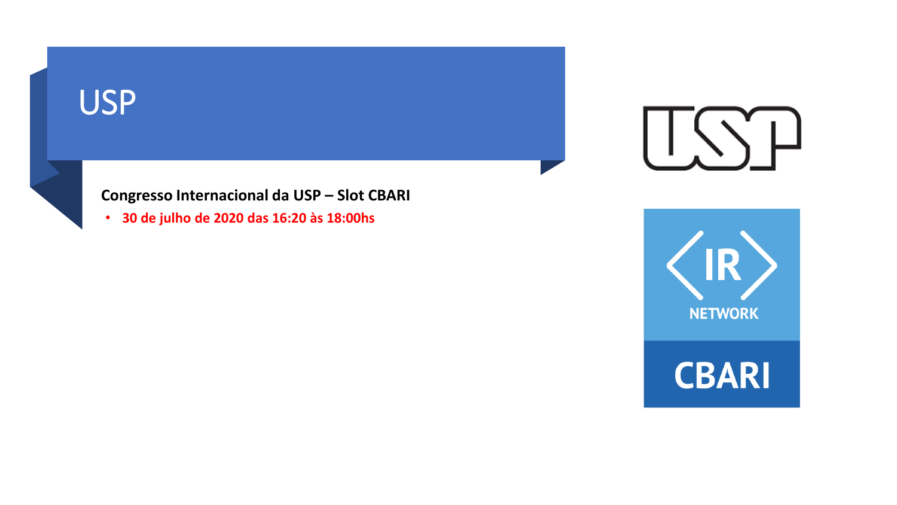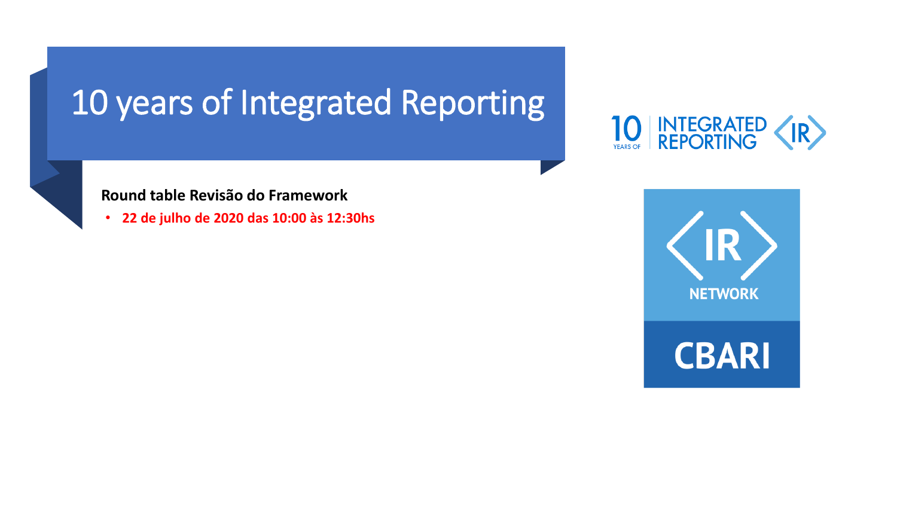# 10 years of Integrated Reporting



### **Round table Revisão do Framework**

• **22 de julho de 2020 das 10:00 às 12:30hs**

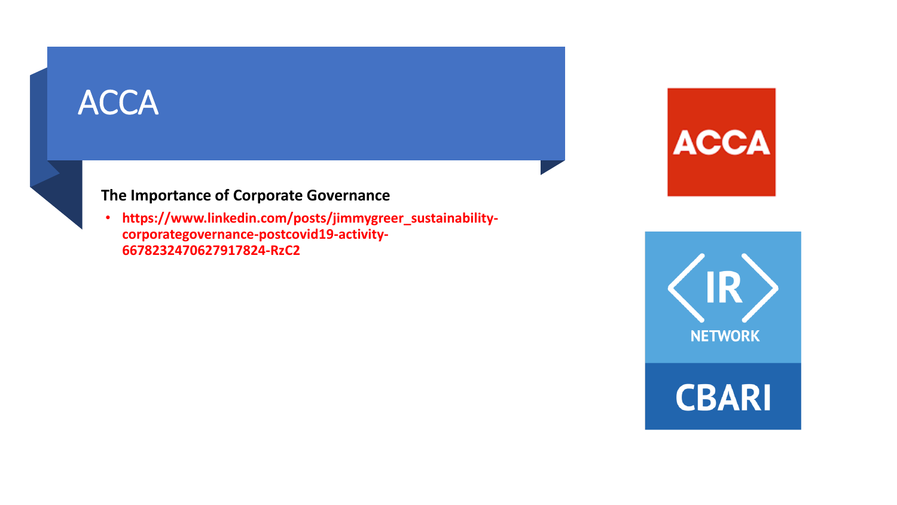# ACCA



### **The Importance of Corporate Governance**

• **https://www.linkedin.com/posts/jimmygreer\_sustainabilitycorporategovernance-postcovid19-activity-6678232470627917824-RzC2**





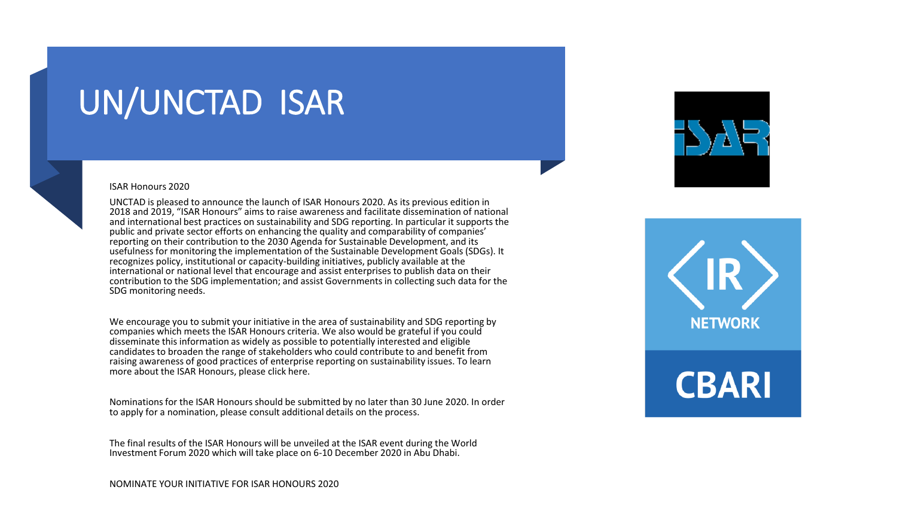### UN/UNCTAD ISAR



#### ISAR Honours 2020

UNCTAD is pleased to announce the launch of ISAR Honours 2020. As its previous edition in 2018 and 2019, "ISAR Honours" aims to raise awareness and facilitate dissemination of national and international best practices on sustainability and SDG reporting. In particular it supports the public and private sector efforts on enhancing the quality and comparability of companies' reporting on their contribution to the 2030 Agenda for Sustainable Development, and its usefulness for monitoring the implementation of the Sustainable Development Goals (SDGs). It recognizes policy, institutional or capacity-building initiatives, publicly available at the international or national level that encourage and assist enterprises to publish data on their contribution to the SDG implementation; and assist Governments in collecting such data for the SDG monitoring needs.

We encourage you to submit your initiative in the area of sustainability and SDG reporting by companies which meets the ISAR Honours criteria. We also would be grateful if you could disseminate this information as widely as possible to potentially interested and eligible candidates to broaden the range of stakeholders who could contribute to and benefit from raising awareness of good practices of enterprise reporting on sustainability issues. To learn more about the ISAR Honours, please click here.

Nominations for the ISAR Honours should be submitted by no later than 30 June 2020. In order to apply for a nomination, please consult additional details on the process.

The final results of the ISAR Honours will be unveiled at the ISAR event during the World Investment Forum 2020 which will take place on 6-10 December 2020 in Abu Dhabi.



# **NETWORK**

# **CBARI**